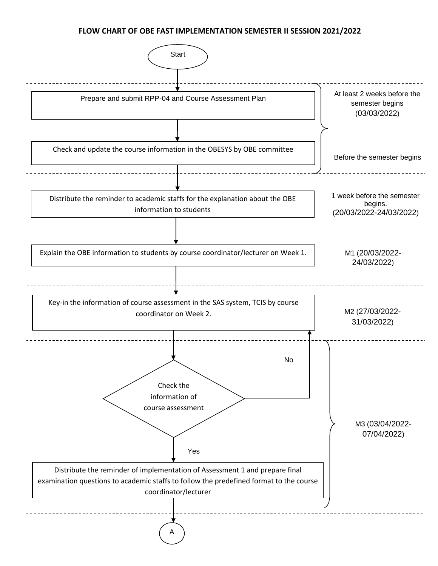## **FLOW CHART OF OBE FAST IMPLEMENTATION SEMESTER II SESSION 2021/2022**

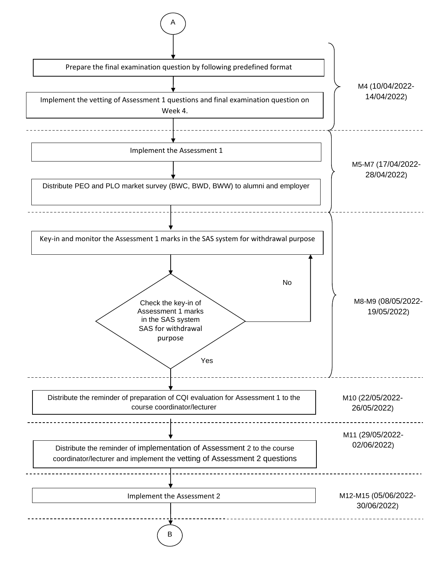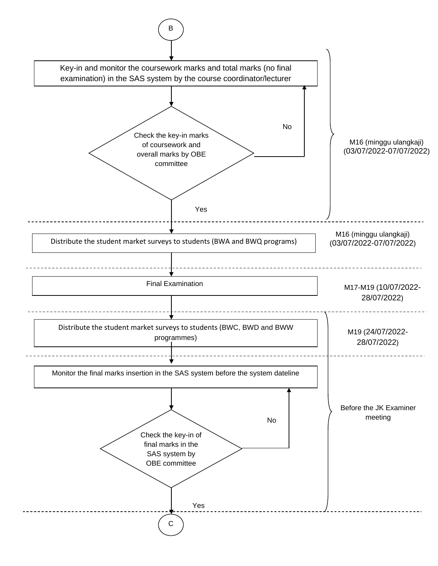